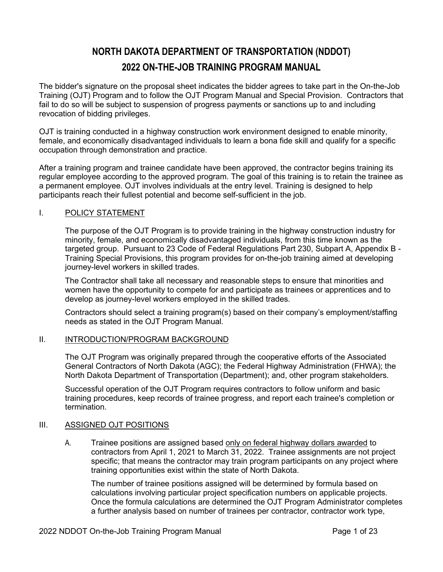# **NORTH DAKOTA DEPARTMENT OF TRANSPORTATION (NDDOT) 2022 ON-THE-JOB TRAINING PROGRAM MANUAL**

The bidder's signature on the proposal sheet indicates the bidder agrees to take part in the On-the-Job Training (OJT) Program and to follow the OJT Program Manual and Special Provision. Contractors that fail to do so will be subject to suspension of progress payments or sanctions up to and including revocation of bidding privileges.

OJT is training conducted in a highway construction work environment designed to enable minority, female, and economically disadvantaged individuals to learn a bona fide skill and qualify for a specific occupation through demonstration and practice.

After a training program and trainee candidate have been approved, the contractor begins training its regular employee according to the approved program. The goal of this training is to retain the trainee as a permanent employee. OJT involves individuals at the entry level. Training is designed to help participants reach their fullest potential and become self-sufficient in the job.

### I. POLICY STATEMENT

The purpose of the OJT Program is to provide training in the highway construction industry for minority, female, and economically disadvantaged individuals, from this time known as the targeted group. Pursuant to 23 Code of Federal Regulations Part 230, Subpart A, Appendix B - Training Special Provisions, this program provides for on-the-job training aimed at developing journey-level workers in skilled trades.

The Contractor shall take all necessary and reasonable steps to ensure that minorities and women have the opportunity to compete for and participate as trainees or apprentices and to develop as journey-level workers employed in the skilled trades.

Contractors should select a training program(s) based on their company's employment/staffing needs as stated in the OJT Program Manual.

### II. INTRODUCTION/PROGRAM BACKGROUND

The OJT Program was originally prepared through the cooperative efforts of the Associated General Contractors of North Dakota (AGC); the Federal Highway Administration (FHWA); the North Dakota Department of Transportation (Department); and, other program stakeholders.

Successful operation of the OJT Program requires contractors to follow uniform and basic training procedures, keep records of trainee progress, and report each trainee's completion or termination.

### III. ASSIGNED OJT POSITIONS

A. Trainee positions are assigned based only on federal highway dollars awarded to contractors from April 1, 2021 to March 31, 2022. Trainee assignments are not project specific; that means the contractor may train program participants on any project where training opportunities exist within the state of North Dakota.

The number of trainee positions assigned will be determined by formula based on calculations involving particular project specification numbers on applicable projects. Once the formula calculations are determined the OJT Program Administrator completes a further analysis based on number of trainees per contractor, contractor work type,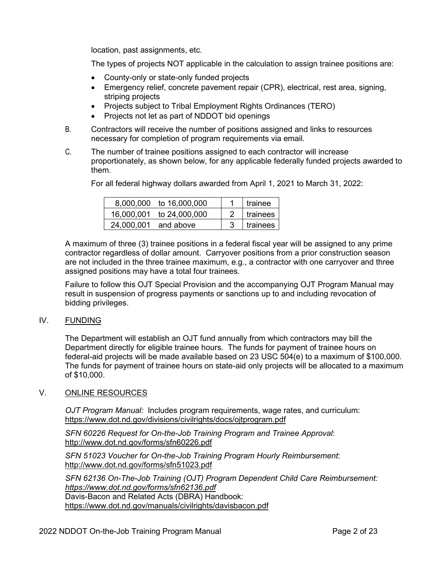location, past assignments, etc.

The types of projects NOT applicable in the calculation to assign trainee positions are:

- County-only or state-only funded projects
- Emergency relief, concrete pavement repair (CPR), electrical, rest area, signing, striping projects
- Projects subject to Tribal Employment Rights Ordinances (TERO)
- Projects not let as part of NDDOT bid openings
- B. Contractors will receive the number of positions assigned and links to resources necessary for completion of program requirements via email.
- C. The number of trainee positions assigned to each contractor will increase proportionately, as shown below, for any applicable federally funded projects awarded to them.

For all federal highway dollars awarded from April 1, 2021 to March 31, 2022:

|                      | 8,000,000 to 16,000,000  | trainee         |
|----------------------|--------------------------|-----------------|
|                      | 16,000,001 to 24,000,000 | <b>trainees</b> |
| 24,000,001 and above |                          | trainees        |

A maximum of three (3) trainee positions in a federal fiscal year will be assigned to any prime contractor regardless of dollar amount. Carryover positions from a prior construction season are not included in the three trainee maximum, e.g., a contractor with one carryover and three assigned positions may have a total four trainees.

Failure to follow this OJT Special Provision and the accompanying OJT Program Manual may result in suspension of progress payments or sanctions up to and including revocation of bidding privileges.

### IV. FUNDING

The Department will establish an OJT fund annually from which contractors may bill the Department directly for eligible trainee hours. The funds for payment of trainee hours on federal-aid projects will be made available based on 23 USC 504(e) to a maximum of \$100,000. The funds for payment of trainee hours on state-aid only projects will be allocated to a maximum of \$10,000.

### V. ONLINE RESOURCES

*OJT Program Manual:* Includes program requirements, wage rates, and curriculum: <https://www.dot.nd.gov/divisions/civilrights/docs/ojtprogram.pdf>

*SFN 60226 Request for On-the-Job Training Program and Trainee Approval*: <http://www.dot.nd.gov/forms/sfn60226.pdf>

*SFN 51023 Voucher for On-the-Job Training Program Hourly Reimbursement*: <http://www.dot.nd.gov/forms/sfn51023.pdf>

*SFN 62136 On-The-Job Training (OJT) Program Dependent Child Care Reimbursement: <https://www.dot.nd.gov/forms/sfn62136.pdf>* Davis-Bacon and Related Acts (DBRA) Handbook: <https://www.dot.nd.gov/manuals/civilrights/davisbacon.pdf>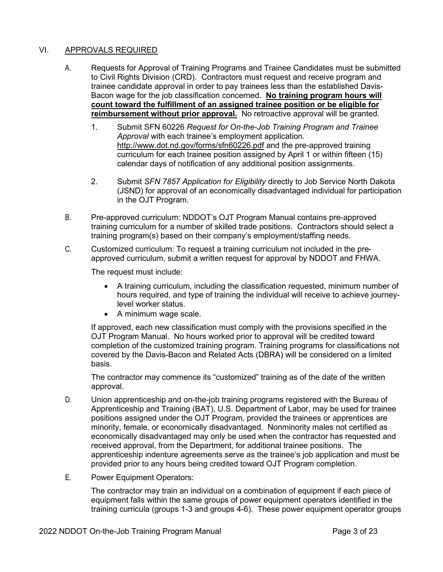### VI. APPROVALS REQUIRED

- A. Requests for Approval of Training Programs and Trainee Candidates must be submitted to Civil Rights Division (CRD). Contractors must request and receive program and trainee candidate approval in order to pay trainees less than the established Davis-Bacon wage for the job classification concerned. **No training program hours will count toward the fulfillment of an assigned trainee position or be eligible for reimbursement without prior approval.** No retroactive approval will be granted.
	- 1. Submit SFN 60226 *Request for On-the-Job Training Program and Trainee Approval* with each trainee's employment application. <http://www.dot.nd.gov/forms/sfn60226.pdf> and the pre-approved training curriculum for each trainee position assigned by April 1 or within fifteen (15) calendar days of notification of any additional position assignments.
	- 2. Submit *SFN 7857 Application for Eligibility* directly to Job Service North Dakota (JSND) for approval of an economically disadvantaged individual for participation in the OJT Program.
- B. Pre-approved curriculum: NDDOT's OJT Program Manual contains pre-approved training curriculum for a number of skilled trade positions. Contractors should select a training program(s) based on their company's employment/staffing needs.
- C. Customized curriculum: To request a training curriculum not included in the preapproved curriculum, submit a written request for approval by NDDOT and FHWA.

The request must include:

- A training curriculum, including the classification requested, minimum number of hours required, and type of training the individual will receive to achieve journeylevel worker status.
- A minimum wage scale.

If approved, each new classification must comply with the provisions specified in the OJT Program Manual. No hours worked prior to approval will be credited toward completion of the customized training program. Training programs for classifications not covered by the Davis-Bacon and Related Acts (DBRA) will be considered on a limited basis.

The contractor may commence its "customized" training as of the date of the written approval.

- D. Union apprenticeship and on-the-job training programs registered with the Bureau of Apprenticeship and Training (BAT), U.S. Department of Labor, may be used for trainee positions assigned under the OJT Program, provided the trainees or apprentices are minority, female, or economically disadvantaged. Nonminority males not certified as economically disadvantaged may only be used when the contractor has requested and received approval, from the Department, for additional trainee positions. The apprenticeship indenture agreements serve as the trainee's job application and must be provided prior to any hours being credited toward OJT Program completion.
- E. Power Equipment Operators:

The contractor may train an individual on a combination of equipment if each piece of equipment falls within the same groups of power equipment operators identified in the training curricula (groups 1-3 and groups 4-6). These power equipment operator groups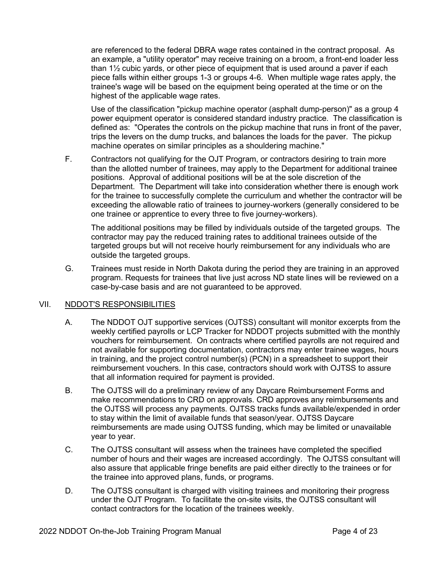are referenced to the federal DBRA wage rates contained in the contract proposal. As an example, a "utility operator" may receive training on a broom, a front-end loader less than 1½ cubic yards, or other piece of equipment that is used around a paver if each piece falls within either groups 1-3 or groups 4-6. When multiple wage rates apply, the trainee's wage will be based on the equipment being operated at the time or on the highest of the applicable wage rates.

Use of the classification "pickup machine operator (asphalt dump-person)" as a group 4 power equipment operator is considered standard industry practice. The classification is defined as: "Operates the controls on the pickup machine that runs in front of the paver, trips the levers on the dump trucks, and balances the loads for the paver. The pickup machine operates on similar principles as a shouldering machine."

F. Contractors not qualifying for the OJT Program, or contractors desiring to train more than the allotted number of trainees, may apply to the Department for additional trainee positions. Approval of additional positions will be at the sole discretion of the Department. The Department will take into consideration whether there is enough work for the trainee to successfully complete the curriculum and whether the contractor will be exceeding the allowable ratio of trainees to journey-workers (generally considered to be one trainee or apprentice to every three to five journey-workers).

The additional positions may be filled by individuals outside of the targeted groups. The contractor may pay the reduced training rates to additional trainees outside of the targeted groups but will not receive hourly reimbursement for any individuals who are outside the targeted groups.

G. Trainees must reside in North Dakota during the period they are training in an approved program. Requests for trainees that live just across ND state lines will be reviewed on a case-by-case basis and are not guaranteed to be approved.

### VII. NDDOT'S RESPONSIBILITIES

- A. The NDDOT OJT supportive services (OJTSS) consultant will monitor excerpts from the weekly certified payrolls or LCP Tracker for NDDOT projects submitted with the monthly vouchers for reimbursement. On contracts where certified payrolls are not required and not available for supporting documentation, contractors may enter trainee wages, hours in training, and the project control number(s) (PCN) in a spreadsheet to support their reimbursement vouchers. In this case, contractors should work with OJTSS to assure that all information required for payment is provided.
- B. The OJTSS will do a preliminary review of any Daycare Reimbursement Forms and make recommendations to CRD on approvals. CRD approves any reimbursements and the OJTSS will process any payments. OJTSS tracks funds available/expended in order to stay within the limit of available funds that season/year. OJTSS Daycare reimbursements are made using OJTSS funding, which may be limited or unavailable year to year.
- C. The OJTSS consultant will assess when the trainees have completed the specified number of hours and their wages are increased accordingly. The OJTSS consultant will also assure that applicable fringe benefits are paid either directly to the trainees or for the trainee into approved plans, funds, or programs.
- D. The OJTSS consultant is charged with visiting trainees and monitoring their progress under the OJT Program. To facilitate the on-site visits, the OJTSS consultant will contact contractors for the location of the trainees weekly.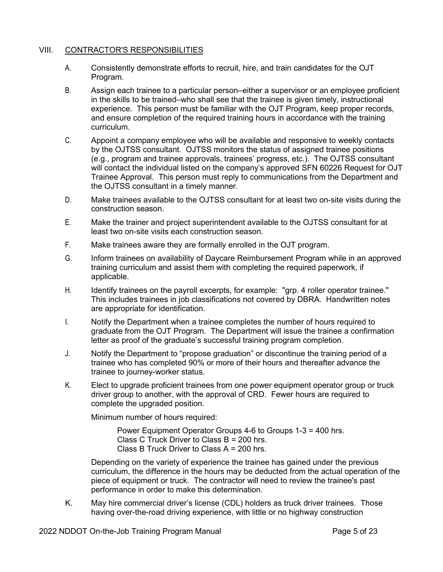### VIII. CONTRACTOR'S RESPONSIBILITIES

- A. Consistently demonstrate efforts to recruit, hire, and train candidates for the OJT Program.
- B. Assign each trainee to a particular person–either a supervisor or an employee proficient in the skills to be trained–who shall see that the trainee is given timely, instructional experience. This person must be familiar with the OJT Program, keep proper records, and ensure completion of the required training hours in accordance with the training curriculum.
- C. Appoint a company employee who will be available and responsive to weekly contacts by the OJTSS consultant. OJTSS monitors the status of assigned trainee positions (e.g., program and trainee approvals, trainees' progress, etc.). The OJTSS consultant will contact the individual listed on the company's approved SFN 60226 Request for OJT Trainee Approval. This person must reply to communications from the Department and the OJTSS consultant in a timely manner.
- D. Make trainees available to the OJTSS consultant for at least two on-site visits during the construction season.
- E. Make the trainer and project superintendent available to the OJTSS consultant for at least two on-site visits each construction season.
- F. Make trainees aware they are formally enrolled in the OJT program.
- G. Inform trainees on availability of Daycare Reimbursement Program while in an approved training curriculum and assist them with completing the required paperwork, if applicable.
- H. Identify trainees on the payroll excerpts, for example: "grp. 4 roller operator trainee." This includes trainees in job classifications not covered by DBRA. Handwritten notes are appropriate for identification.
- I. Notify the Department when a trainee completes the number of hours required to graduate from the OJT Program. The Department will issue the trainee a confirmation letter as proof of the graduate's successful training program completion.
- J. Notify the Department to "propose graduation" or discontinue the training period of a trainee who has completed 90% or more of their hours and thereafter advance the trainee to journey-worker status.
- K. Elect to upgrade proficient trainees from one power equipment operator group or truck driver group to another, with the approval of CRD. Fewer hours are required to complete the upgraded position.

Minimum number of hours required:

Power Equipment Operator Groups 4-6 to Groups 1-3 = 400 hrs. Class C Truck Driver to Class B = 200 hrs. Class B Truck Driver to Class A = 200 hrs.

Depending on the variety of experience the trainee has gained under the previous curriculum, the difference in the hours may be deducted from the actual operation of the piece of equipment or truck. The contractor will need to review the trainee's past performance in order to make this determination.

K. May hire commercial driver's license (CDL) holders as truck driver trainees. Those having over-the-road driving experience, with little or no highway construction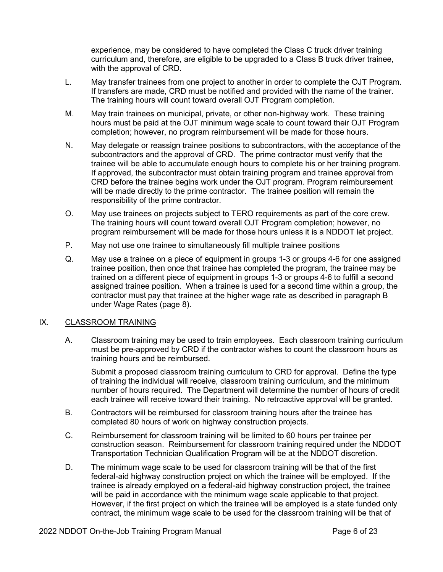experience, may be considered to have completed the Class C truck driver training curriculum and, therefore, are eligible to be upgraded to a Class B truck driver trainee, with the approval of CRD.

- L. May transfer trainees from one project to another in order to complete the OJT Program. If transfers are made, CRD must be notified and provided with the name of the trainer. The training hours will count toward overall OJT Program completion.
- M. May train trainees on municipal, private, or other non-highway work. These training hours must be paid at the OJT minimum wage scale to count toward their OJT Program completion; however, no program reimbursement will be made for those hours.
- N. May delegate or reassign trainee positions to subcontractors, with the acceptance of the subcontractors and the approval of CRD. The prime contractor must verify that the trainee will be able to accumulate enough hours to complete his or her training program. If approved, the subcontractor must obtain training program and trainee approval from CRD before the trainee begins work under the OJT program. Program reimbursement will be made directly to the prime contractor. The trainee position will remain the responsibility of the prime contractor.
- O. May use trainees on projects subject to TERO requirements as part of the core crew. The training hours will count toward overall OJT Program completion; however, no program reimbursement will be made for those hours unless it is a NDDOT let project.
- P. May not use one trainee to simultaneously fill multiple trainee positions
- Q. May use a trainee on a piece of equipment in groups 1-3 or groups 4-6 for one assigned trainee position, then once that trainee has completed the program, the trainee may be trained on a different piece of equipment in groups 1-3 or groups 4-6 to fulfill a second assigned trainee position. When a trainee is used for a second time within a group, the contractor must pay that trainee at the higher wage rate as described in paragraph B under Wage Rates (page 8).

#### IX. CLASSROOM TRAINING

A. Classroom training may be used to train employees. Each classroom training curriculum must be pre-approved by CRD if the contractor wishes to count the classroom hours as training hours and be reimbursed.

Submit a proposed classroom training curriculum to CRD for approval. Define the type of training the individual will receive, classroom training curriculum, and the minimum number of hours required. The Department will determine the number of hours of credit each trainee will receive toward their training. No retroactive approval will be granted.

- B. Contractors will be reimbursed for classroom training hours after the trainee has completed 80 hours of work on highway construction projects.
- C. Reimbursement for classroom training will be limited to 60 hours per trainee per construction season. Reimbursement for classroom training required under the NDDOT Transportation Technician Qualification Program will be at the NDDOT discretion.
- D. The minimum wage scale to be used for classroom training will be that of the first federal-aid highway construction project on which the trainee will be employed. If the trainee is already employed on a federal-aid highway construction project, the trainee will be paid in accordance with the minimum wage scale applicable to that project. However, if the first project on which the trainee will be employed is a state funded only contract, the minimum wage scale to be used for the classroom training will be that of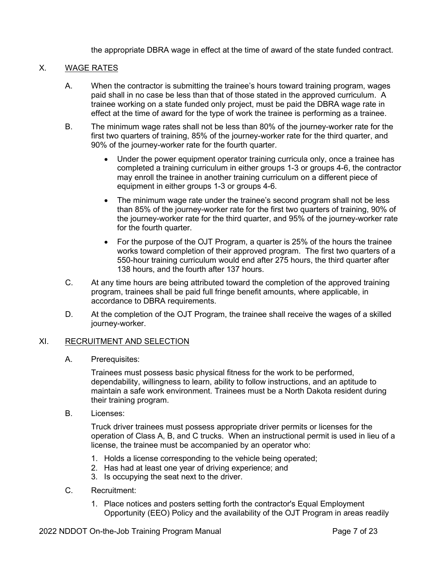the appropriate DBRA wage in effect at the time of award of the state funded contract.

### X. WAGE RATES

- A. When the contractor is submitting the trainee's hours toward training program, wages paid shall in no case be less than that of those stated in the approved curriculum. A trainee working on a state funded only project, must be paid the DBRA wage rate in effect at the time of award for the type of work the trainee is performing as a trainee.
- B. The minimum wage rates shall not be less than 80% of the journey-worker rate for the first two quarters of training, 85% of the journey-worker rate for the third quarter, and 90% of the journey-worker rate for the fourth quarter.
	- Under the power equipment operator training curricula only, once a trainee has completed a training curriculum in either groups 1-3 or groups 4-6, the contractor may enroll the trainee in another training curriculum on a different piece of equipment in either groups 1-3 or groups 4-6.
	- The minimum wage rate under the trainee's second program shall not be less than 85% of the journey-worker rate for the first two quarters of training, 90% of the journey-worker rate for the third quarter, and 95% of the journey-worker rate for the fourth quarter.
	- For the purpose of the OJT Program, a quarter is 25% of the hours the trainee works toward completion of their approved program. The first two quarters of a 550-hour training curriculum would end after 275 hours, the third quarter after 138 hours, and the fourth after 137 hours.
- C. At any time hours are being attributed toward the completion of the approved training program, trainees shall be paid full fringe benefit amounts, where applicable, in accordance to DBRA requirements.
- D. At the completion of the OJT Program, the trainee shall receive the wages of a skilled journey-worker.

#### XI. RECRUITMENT AND SELECTION

A. Prerequisites:

Trainees must possess basic physical fitness for the work to be performed, dependability, willingness to learn, ability to follow instructions, and an aptitude to maintain a safe work environment. Trainees must be a North Dakota resident during their training program.

B. Licenses:

Truck driver trainees must possess appropriate driver permits or licenses for the operation of Class A, B, and C trucks. When an instructional permit is used in lieu of a license, the trainee must be accompanied by an operator who:

- 1. Holds a license corresponding to the vehicle being operated;
- 2. Has had at least one year of driving experience; and
- 3. Is occupying the seat next to the driver.
- C. Recruitment:
	- 1. Place notices and posters setting forth the contractor's Equal Employment Opportunity (EEO) Policy and the availability of the OJT Program in areas readily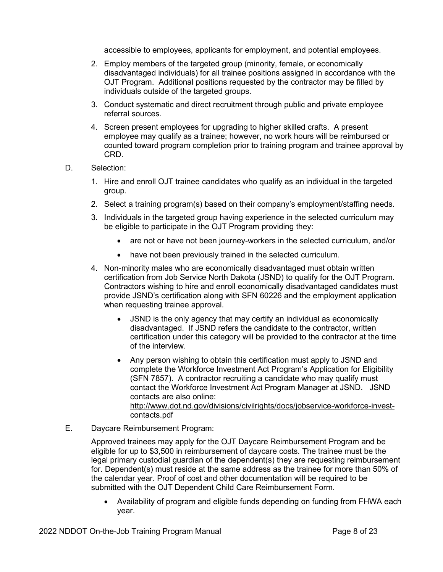accessible to employees, applicants for employment, and potential employees.

- 2. Employ members of the targeted group (minority, female, or economically disadvantaged individuals) for all trainee positions assigned in accordance with the OJT Program. Additional positions requested by the contractor may be filled by individuals outside of the targeted groups.
- 3. Conduct systematic and direct recruitment through public and private employee referral sources.
- 4. Screen present employees for upgrading to higher skilled crafts. A present employee may qualify as a trainee; however, no work hours will be reimbursed or counted toward program completion prior to training program and trainee approval by CRD.
- D. Selection:
	- 1. Hire and enroll OJT trainee candidates who qualify as an individual in the targeted group.
	- 2. Select a training program(s) based on their company's employment/staffing needs.
	- 3. Individuals in the targeted group having experience in the selected curriculum may be eligible to participate in the OJT Program providing they:
		- are not or have not been journey-workers in the selected curriculum, and/or
		- have not been previously trained in the selected curriculum.
	- 4. Non-minority males who are economically disadvantaged must obtain written certification from Job Service North Dakota (JSND) to qualify for the OJT Program. Contractors wishing to hire and enroll economically disadvantaged candidates must provide JSND's certification along with SFN 60226 and the employment application when requesting trainee approval.
		- JSND is the only agency that may certify an individual as economically disadvantaged. If JSND refers the candidate to the contractor, written certification under this category will be provided to the contractor at the time of the interview.
		- Any person wishing to obtain this certification must apply to JSND and complete the Workforce Investment Act Program's Application for Eligibility (SFN 7857). A contractor recruiting a candidate who may qualify must contact the Workforce Investment Act Program Manager at JSND. JSND contacts are also online: [http://www.dot.nd.gov/divisions/civilrights/docs/jobservice-workforce-invest](http://www.dot.nd.gov/divisions/civilrights/docs/jobservice-workforce-invest-contacts.pdf)[contacts.pdf](http://www.dot.nd.gov/divisions/civilrights/docs/jobservice-workforce-invest-contacts.pdf)
- E. Daycare Reimbursement Program:

Approved trainees may apply for the OJT Daycare Reimbursement Program and be eligible for up to \$3,500 in reimbursement of daycare costs. The trainee must be the legal primary custodial guardian of the dependent(s) they are requesting reimbursement for. Dependent(s) must reside at the same address as the trainee for more than 50% of the calendar year. Proof of cost and other documentation will be required to be submitted with the OJT Dependent Child Care Reimbursement Form.

• Availability of program and eligible funds depending on funding from FHWA each year.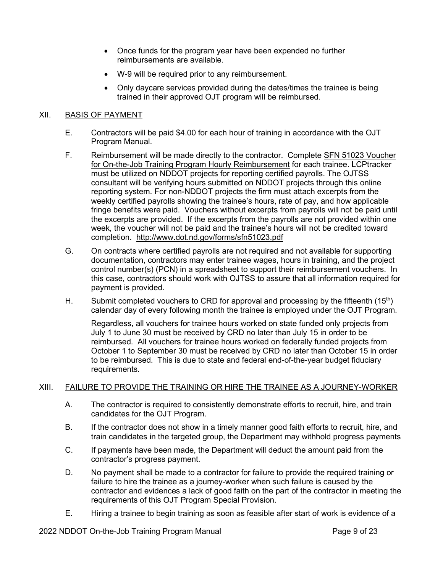- Once funds for the program year have been expended no further reimbursements are available.
- W-9 will be required prior to any reimbursement.
- Only daycare services provided during the dates/times the trainee is being trained in their approved OJT program will be reimbursed.

### XII. BASIS OF PAYMENT

- E. Contractors will be paid \$4.00 for each hour of training in accordance with the OJT Program Manual.
- F. Reimbursement will be made directly to the contractor. Complete [SFN 51023 Voucher](https://www.dot.nd.gov/forms/sfn51023.pdf) [for On-the-Job Training Program Hourly Reimbursement](https://www.dot.nd.gov/forms/sfn51023.pdf) for each trainee. LCPtracker must be utilized on NDDOT projects for reporting certified payrolls. The OJTSS consultant will be verifying hours submitted on NDDOT projects through this online reporting system. For non-NDDOT projects the firm must attach excerpts from the weekly certified payrolls showing the trainee's hours, rate of pay, and how applicable fringe benefits were paid. Vouchers without excerpts from payrolls will not be paid until the excerpts are provided. If the excerpts from the payrolls are not provided within one week, the voucher will not be paid and the trainee's hours will not be credited toward completion. <http://www.dot.nd.gov/forms/sfn51023.pdf>
- G. On contracts where certified payrolls are not required and not available for supporting documentation, contractors may enter trainee wages, hours in training, and the project control number(s) (PCN) in a spreadsheet to support their reimbursement vouchers. In this case, contractors should work with OJTSS to assure that all information required for payment is provided.
- H. Submit completed vouchers to CRD for approval and processing by the fifteenth  $(15<sup>th</sup>)$ calendar day of every following month the trainee is employed under the OJT Program.

Regardless, all vouchers for trainee hours worked on state funded only projects from July 1 to June 30 must be received by CRD no later than July 15 in order to be reimbursed. All vouchers for trainee hours worked on federally funded projects from October 1 to September 30 must be received by CRD no later than October 15 in order to be reimbursed. This is due to state and federal end-of-the-year budget fiduciary requirements.

### XIII. FAILURE TO PROVIDE THE TRAINING OR HIRE THE TRAINEE AS A JOURNEY-WORKER

- A. The contractor is required to consistently demonstrate efforts to recruit, hire, and train candidates for the OJT Program.
- B. If the contractor does not show in a timely manner good faith efforts to recruit, hire, and train candidates in the targeted group, the Department may withhold progress payments
- C. If payments have been made, the Department will deduct the amount paid from the contractor's progress payment.
- D. No payment shall be made to a contractor for failure to provide the required training or failure to hire the trainee as a journey-worker when such failure is caused by the contractor and evidences a lack of good faith on the part of the contractor in meeting the requirements of this OJT Program Special Provision.
- E. Hiring a trainee to begin training as soon as feasible after start of work is evidence of a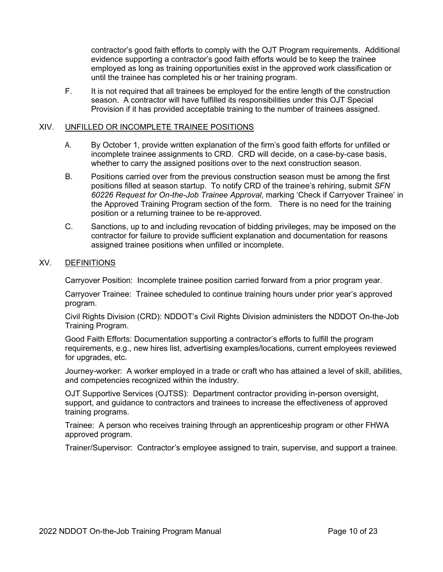contractor's good faith efforts to comply with the OJT Program requirements. Additional evidence supporting a contractor's good faith efforts would be to keep the trainee employed as long as training opportunities exist in the approved work classification or until the trainee has completed his or her training program.

F. It is not required that all trainees be employed for the entire length of the construction season. A contractor will have fulfilled its responsibilities under this OJT Special Provision if it has provided acceptable training to the number of trainees assigned.

### XIV. UNFILLED OR INCOMPLETE TRAINEE POSITIONS

- A. By October 1, provide written explanation of the firm's good faith efforts for unfilled or incomplete trainee assignments to CRD. CRD will decide, on a case-by-case basis, whether to carry the assigned positions over to the next construction season.
- B. Positions carried over from the previous construction season must be among the first positions filled at season startup. To notify CRD of the trainee's rehiring, submit *SFN 60226 Request for On-the-Job Trainee Approval*, marking 'Check if Carryover Trainee' in the Approved Training Program section of the form. There is no need for the training position or a returning trainee to be re-approved.
- C. Sanctions, up to and including revocation of bidding privileges, may be imposed on the contractor for failure to provide sufficient explanation and documentation for reasons assigned trainee positions when unfilled or incomplete.

### XV. DEFINITIONS

Carryover Position: Incomplete trainee position carried forward from a prior program year.

Carryover Trainee: Trainee scheduled to continue training hours under prior year's approved program.

Civil Rights Division (CRD): NDDOT's Civil Rights Division administers the NDDOT On-the-Job Training Program.

Good Faith Efforts: Documentation supporting a contractor's efforts to fulfill the program requirements, e.g., new hires list, advertising examples/locations, current employees reviewed for upgrades, etc.

Journey-worker: A worker employed in a trade or craft who has attained a level of skill, abilities, and competencies recognized within the industry.

OJT Supportive Services (OJTSS): Department contractor providing in-person oversight, support, and guidance to contractors and trainees to increase the effectiveness of approved training programs.

Trainee: A person who receives training through an apprenticeship program or other FHWA approved program.

Trainer/Supervisor: Contractor's employee assigned to train, supervise, and support a trainee.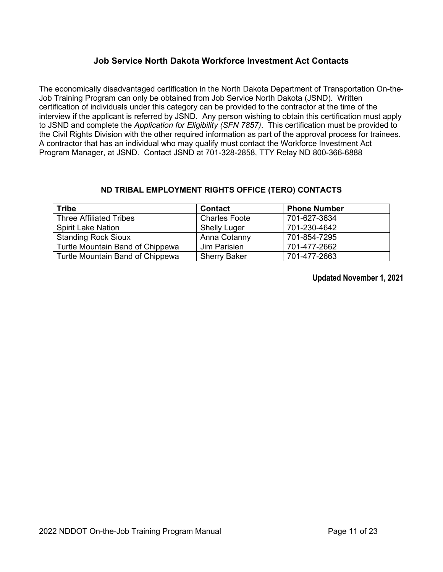# **Job Service North Dakota Workforce Investment Act Contacts**

The economically disadvantaged certification in the North Dakota Department of Transportation On-the-Job Training Program can only be obtained from Job Service North Dakota (JSND). Written certification of individuals under this category can be provided to the contractor at the time of the interview if the applicant is referred by JSND. Any person wishing to obtain this certification must apply to JSND and complete the *Application for Eligibility (SFN 7857)*. This certification must be provided to the Civil Rights Division with the other required information as part of the approval process for trainees. A contractor that has an individual who may qualify must contact the Workforce Investment Act Program Manager, at JSND. Contact JSND at 701-328-2858, TTY Relay ND 800-366-6888

### **ND TRIBAL EMPLOYMENT RIGHTS OFFICE (TERO) CONTACTS**

| <b>Tribe</b>                     | <b>Contact</b>       | <b>Phone Number</b> |
|----------------------------------|----------------------|---------------------|
| <b>Three Affiliated Tribes</b>   | <b>Charles Foote</b> | 701-627-3634        |
| <b>Spirit Lake Nation</b>        | <b>Shelly Luger</b>  | 701-230-4642        |
| <b>Standing Rock Sioux</b>       | Anna Cotanny         | 701-854-7295        |
| Turtle Mountain Band of Chippewa | Jim Parisien         | 701-477-2662        |
| Turtle Mountain Band of Chippewa | <b>Sherry Baker</b>  | 701-477-2663        |

**Updated November 1, 2021**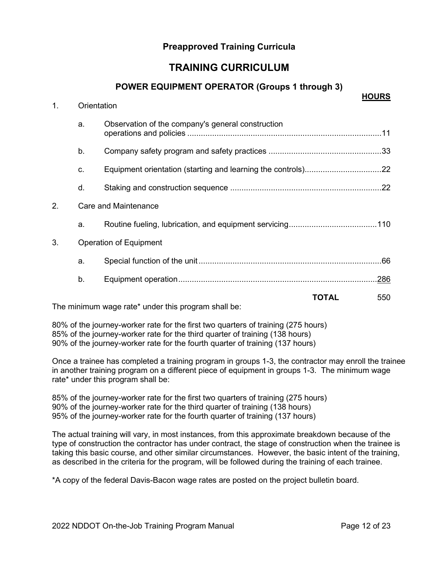# **Preapproved Training Curricula**

# **TRAINING CURRICULUM**

### **POWER EQUIPMENT OPERATOR (Groups 1 through 3)**

| 1. | Orientation | HUUKS                                                               |      |
|----|-------------|---------------------------------------------------------------------|------|
|    | a.          | Observation of the company's general construction                   |      |
|    | b.          |                                                                     |      |
|    | C.          |                                                                     |      |
|    | d.          |                                                                     |      |
| 2. |             | Care and Maintenance                                                |      |
|    | a.          |                                                                     |      |
| 3. |             | Operation of Equipment                                              |      |
|    | a.          |                                                                     |      |
|    | b.          |                                                                     | .286 |
|    |             | <b>TOTAL</b><br>The minimum wage rate* under this program shall be: | 550  |

80% of the journey-worker rate for the first two quarters of training (275 hours) 85% of the journey-worker rate for the third quarter of training (138 hours) 90% of the journey-worker rate for the fourth quarter of training (137 hours)

Once a trainee has completed a training program in groups 1-3, the contractor may enroll the trainee in another training program on a different piece of equipment in groups 1-3. The minimum wage rate\* under this program shall be:

85% of the journey-worker rate for the first two quarters of training (275 hours) 90% of the journey-worker rate for the third quarter of training (138 hours) 95% of the journey-worker rate for the fourth quarter of training (137 hours)

The actual training will vary, in most instances, from this approximate breakdown because of the type of construction the contractor has under contract, the stage of construction when the trainee is taking this basic course, and other similar circumstances. However, the basic intent of the training, as described in the criteria for the program, will be followed during the training of each trainee.

\*A copy of the federal Davis-Bacon wage rates are posted on the project bulletin board.

**HOURS**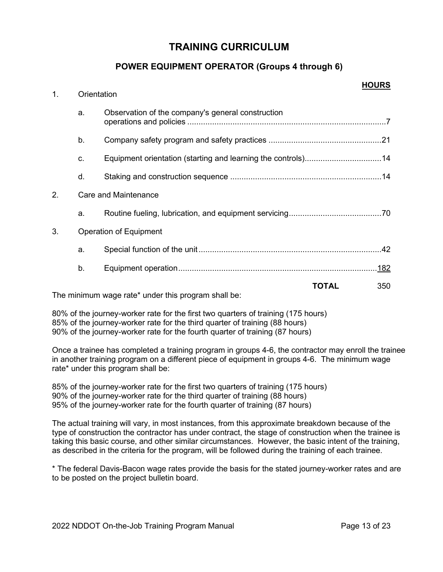# **POWER EQUIPMENT OPERATOR (Groups 4 through 6)**

| 1. | Orientation |                                                                     | טווטטוו |
|----|-------------|---------------------------------------------------------------------|---------|
|    | a.          | Observation of the company's general construction                   |         |
|    | b.          |                                                                     |         |
|    | C.          | Equipment orientation (starting and learning the controls)14        |         |
|    | d.          |                                                                     |         |
| 2. |             | <b>Care and Maintenance</b>                                         |         |
|    | a.          |                                                                     |         |
| 3. |             | <b>Operation of Equipment</b>                                       |         |
|    | a.          |                                                                     |         |
|    | b.          |                                                                     |         |
|    |             | <b>TOTAL</b><br>The minimum wage rate* under this program shall be: | 350     |

80% of the journey-worker rate for the first two quarters of training (175 hours) 85% of the journey-worker rate for the third quarter of training (88 hours) 90% of the journey-worker rate for the fourth quarter of training (87 hours)

Once a trainee has completed a training program in groups 4-6, the contractor may enroll the trainee in another training program on a different piece of equipment in groups 4-6. The minimum wage rate\* under this program shall be:

85% of the journey-worker rate for the first two quarters of training (175 hours) 90% of the journey-worker rate for the third quarter of training (88 hours) 95% of the journey-worker rate for the fourth quarter of training (87 hours)

The actual training will vary, in most instances, from this approximate breakdown because of the type of construction the contractor has under contract, the stage of construction when the trainee is taking this basic course, and other similar circumstances. However, the basic intent of the training, as described in the criteria for the program, will be followed during the training of each trainee.

\* The federal Davis-Bacon wage rates provide the basis for the stated journey-worker rates and are to be posted on the project bulletin board.

**HOURS**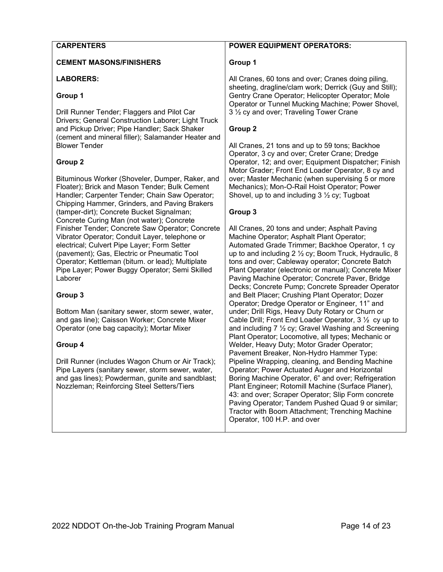#### **CARPENTERS**

#### **CEMENT MASONS/FINISHERS**

#### **LABORERS:**

#### **Group 1**

Drill Runner Tender; Flaggers and Pilot Car Drivers; General Construction Laborer; Light Truck and Pickup Driver; Pipe Handler; Sack Shaker (cement and mineral filler); Salamander Heater and Blower Tender

#### **Group 2**

Bituminous Worker (Shoveler, Dumper, Raker, and Floater); Brick and Mason Tender; Bulk Cement Handler; Carpenter Tender; Chain Saw Operator; Chipping Hammer, Grinders, and Paving Brakers (tamper-dirt); Concrete Bucket Signalman; Concrete Curing Man (not water); Concrete Finisher Tender; Concrete Saw Operator; Concrete Vibrator Operator; Conduit Layer, telephone or electrical; Culvert Pipe Layer; Form Setter (pavement); Gas, Electric or Pneumatic Tool Operator; Kettleman (bitum. or lead); Multiplate Pipe Layer; Power Buggy Operator; Semi Skilled Laborer

#### **Group 3**

Bottom Man (sanitary sewer, storm sewer, water, and gas line); Caisson Worker; Concrete Mixer Operator (one bag capacity); Mortar Mixer

#### **Group 4**

Drill Runner (includes Wagon Churn or Air Track); Pipe Layers (sanitary sewer, storm sewer, water, and gas lines); Powderman, gunite and sandblast; Nozzleman; Reinforcing Steel Setters/Tiers

### **POWER EQUIPMENT OPERATORS:**

#### **Group 1**

All Cranes, 60 tons and over; Cranes doing piling, sheeting, dragline/clam work; Derrick (Guy and Still); Gentry Crane Operator; Helicopter Operator; Mole Operator or Tunnel Mucking Machine; Power Shovel, 3 ½ cy and over; Traveling Tower Crane

#### **Group 2**

All Cranes, 21 tons and up to 59 tons; Backhoe Operator, 3 cy and over; Creter Crane; Dredge Operator, 12; and over; Equipment Dispatcher; Finish Motor Grader; Front End Loader Operator, 8 cy and over; Master Mechanic (when supervising 5 or more Mechanics); Mon-O-Rail Hoist Operator; Power Shovel, up to and including 3 ½ cy; Tugboat

### **Group 3**

All Cranes, 20 tons and under; Asphalt Paving Machine Operator; Asphalt Plant Operator; Automated Grade Trimmer; Backhoe Operator, 1 cy up to and including 2 ½ cy; Boom Truck, Hydraulic, 8 tons and over; Cableway operator; Concrete Batch Plant Operator (electronic or manual); Concrete Mixer Paving Machine Operator; Concrete Paver, Bridge Decks; Concrete Pump; Concrete Spreader Operator and Belt Placer; Crushing Plant Operator; Dozer Operator; Dredge Operator or Engineer, 11" and under; Drill Rigs, Heavy Duty Rotary or Churn or Cable Drill; Front End Loader Operator, 3 ½ cy up to and including 7 ½ cy; Gravel Washing and Screening Plant Operator; Locomotive, all types; Mechanic or Welder, Heavy Duty; Motor Grader Operator; Pavement Breaker, Non-Hydro Hammer Type: Pipeline Wrapping, cleaning, and Bending Machine Operator; Power Actuated Auger and Horizontal Boring Machine Operator, 6" and over; Refrigeration Plant Engineer; Rotomill Machine (Surface Planer), 43: and over; Scraper Operator; Slip Form concrete Paving Operator; Tandem Pushed Quad 9 or similar; Tractor with Boom Attachment; Trenching Machine Operator, 100 H.P. and over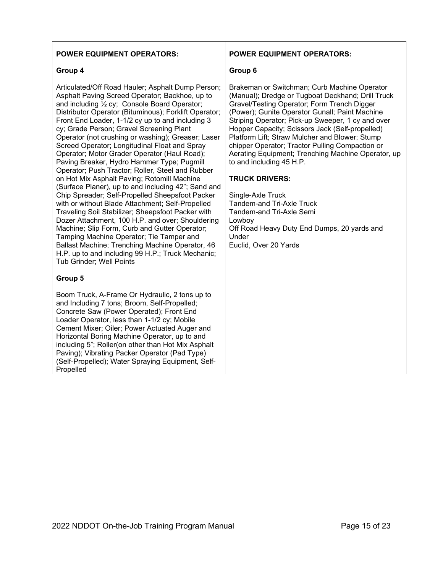#### **POWER EQUIPMENT OPERATORS:**

#### **Group 4**

Articulated/Off Road Hauler; Asphalt Dump Person; Asphalt Paving Screed Operator; Backhoe, up to and including ½ cy; Console Board Operator; Distributor Operator (Bituminous); Forklift Operator; Front End Loader, 1-1/2 cy up to and including 3 cy; Grade Person; Gravel Screening Plant Operator (not crushing or washing); Greaser; Laser Screed Operator; Longitudinal Float and Spray Operator; Motor Grader Operator (Haul Road); Paving Breaker, Hydro Hammer Type; Pugmill Operator; Push Tractor; Roller, Steel and Rubber on Hot Mix Asphalt Paving; Rotomill Machine (Surface Planer), up to and including 42"; Sand and Chip Spreader; Self-Propelled Sheepsfoot Packer with or without Blade Attachment; Self-Propelled Traveling Soil Stabilizer; Sheepsfoot Packer with Dozer Attachment, 100 H.P. and over; Shouldering Machine; Slip Form, Curb and Gutter Operator; Tamping Machine Operator; Tie Tamper and Ballast Machine; Trenching Machine Operator, 46 H.P. up to and including 99 H.P.; Truck Mechanic; Tub Grinder; Well Points

#### **Group 5**

Boom Truck, A-Frame Or Hydraulic, 2 tons up to and Including 7 tons; Broom, Self-Propelled; Concrete Saw (Power Operated); Front End Loader Operator, less than 1-1/2 cy; Mobile Cement Mixer; Oiler; Power Actuated Auger and Horizontal Boring Machine Operator, up to and including 5"; Roller(on other than Hot Mix Asphalt Paving); Vibrating Packer Operator (Pad Type) (Self-Propelled); Water Spraying Equipment, Self-Propelled

#### **POWER EQUIPMENT OPERATORS:**

#### **Group 6**

Brakeman or Switchman; Curb Machine Operator (Manual); Dredge or Tugboat Deckhand; Drill Truck Gravel/Testing Operator; Form Trench Digger (Power); Gunite Operator Gunall; Paint Machine Striping Operator; Pick-up Sweeper, 1 cy and over Hopper Capacity; Scissors Jack (Self-propelled) Platform Lift; Straw Mulcher and Blower; Stump chipper Operator; Tractor Pulling Compaction or Aerating Equipment; Trenching Machine Operator, up to and including 45 H.P.

#### **TRUCK DRIVERS:**

Single-Axle Truck Tandem-and Tri-Axle Truck Tandem-and Tri-Axle Semi Lowboy Off Road Heavy Duty End Dumps, 20 yards and Under Euclid, Over 20 Yards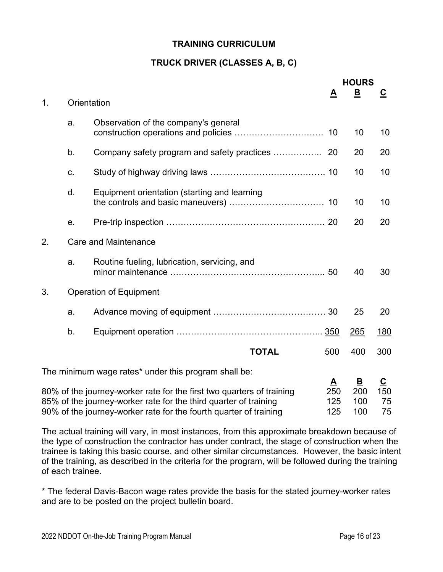# **TRUCK DRIVER (CLASSES A, B, C)**

|    |             |                                                                                                                                                                                                                |                               | <b>HOURS</b><br><u>B</u>                     |                         |
|----|-------------|----------------------------------------------------------------------------------------------------------------------------------------------------------------------------------------------------------------|-------------------------------|----------------------------------------------|-------------------------|
| 1. | Orientation |                                                                                                                                                                                                                | <u>A</u>                      |                                              | $\overline{\mathbf{c}}$ |
|    | a.          | Observation of the company's general                                                                                                                                                                           |                               | 10                                           | 10                      |
|    | b.          | Company safety program and safety practices                                                                                                                                                                    | 20                            | 20                                           | 20                      |
|    | C.          |                                                                                                                                                                                                                |                               | 10                                           | 10                      |
|    | d.          | Equipment orientation (starting and learning                                                                                                                                                                   |                               | 10                                           | 10                      |
|    | е.          |                                                                                                                                                                                                                |                               | 20                                           | 20                      |
| 2. |             | <b>Care and Maintenance</b>                                                                                                                                                                                    |                               |                                              |                         |
|    | a.          | Routine fueling, lubrication, servicing, and                                                                                                                                                                   |                               | 40                                           | 30                      |
| 3. |             | <b>Operation of Equipment</b>                                                                                                                                                                                  |                               |                                              |                         |
|    | a.          |                                                                                                                                                                                                                |                               | 25                                           | 20                      |
|    | b.          |                                                                                                                                                                                                                |                               | 265                                          | 180                     |
|    |             | <b>TOTAL</b>                                                                                                                                                                                                   | 500                           | 400                                          | 300                     |
|    |             | The minimum wage rates* under this program shall be:                                                                                                                                                           |                               |                                              |                         |
|    |             | 80% of the journey-worker rate for the first two quarters of training<br>85% of the journey-worker rate for the third quarter of training<br>90% of the journey-worker rate for the fourth quarter of training | <u>A</u><br>250<br>125<br>125 | $\overline{\mathbf{B}}$<br>200<br>100<br>100 | C<br>150<br>75<br>75    |

The actual training will vary, in most instances, from this approximate breakdown because of the type of construction the contractor has under contract, the stage of construction when the trainee is taking this basic course, and other similar circumstances. However, the basic intent of the training, as described in the criteria for the program, will be followed during the training of each trainee.

\* The federal Davis-Bacon wage rates provide the basis for the stated journey-worker rates and are to be posted on the project bulletin board.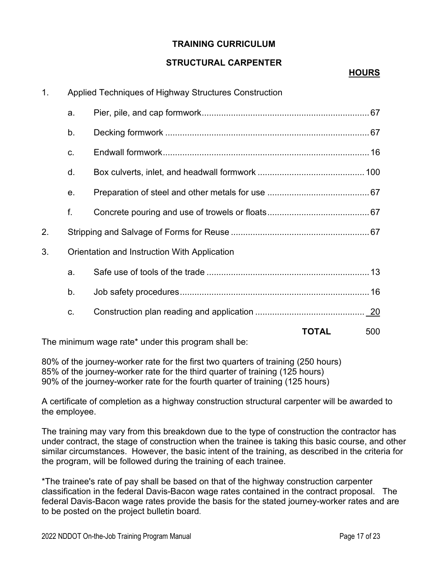# **STRUCTURAL CARPENTER**

# **HOURS**

| 1 <sub>1</sub> |    | Applied Techniques of Highway Structures Construction |              |     |
|----------------|----|-------------------------------------------------------|--------------|-----|
|                | a. |                                                       |              |     |
|                | b. |                                                       |              |     |
|                | C. |                                                       |              |     |
|                | d. |                                                       |              |     |
|                | е. |                                                       |              |     |
|                | f. |                                                       |              |     |
| 2.             |    |                                                       |              |     |
| 3.             |    | Orientation and Instruction With Application          |              |     |
|                | a. |                                                       |              |     |
|                | b. |                                                       |              |     |
|                | C. |                                                       |              |     |
|                |    |                                                       | <b>TOTAL</b> | 500 |
|                |    | The minimum wage rate* under this program shall be:   |              |     |

80% of the journey-worker rate for the first two quarters of training (250 hours) 85% of the journey-worker rate for the third quarter of training (125 hours) 90% of the journey-worker rate for the fourth quarter of training (125 hours)

A certificate of completion as a highway construction structural carpenter will be awarded to the employee.

The training may vary from this breakdown due to the type of construction the contractor has under contract, the stage of construction when the trainee is taking this basic course, and other similar circumstances. However, the basic intent of the training, as described in the criteria for the program, will be followed during the training of each trainee.

\*The trainee's rate of pay shall be based on that of the highway construction carpenter classification in the federal Davis-Bacon wage rates contained in the contract proposal. The federal Davis-Bacon wage rates provide the basis for the stated journey-worker rates and are to be posted on the project bulletin board.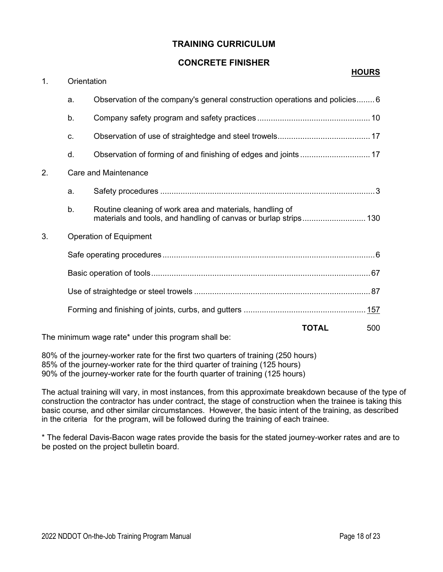### **CONCRETE FINISHER**

| 1. | Orientation    |                                                                            |              | πυυκο |
|----|----------------|----------------------------------------------------------------------------|--------------|-------|
|    | a.             | Observation of the company's general construction operations and policies6 |              |       |
|    | b.             |                                                                            |              |       |
|    | C <sub>1</sub> |                                                                            |              |       |
|    | d.             |                                                                            |              |       |
| 2. |                | Care and Maintenance                                                       |              |       |
|    | a.             |                                                                            |              |       |
|    | b.             | Routine cleaning of work area and materials, handling of                   |              |       |
| 3. |                | <b>Operation of Equipment</b>                                              |              |       |
|    |                |                                                                            |              |       |
|    |                |                                                                            |              |       |
|    |                |                                                                            |              |       |
|    |                |                                                                            |              |       |
|    |                | The minimum wage rate* under this program shall be:                        | <b>TOTAL</b> | 500   |

80% of the journey-worker rate for the first two quarters of training (250 hours) 85% of the journey-worker rate for the third quarter of training (125 hours) 90% of the journey-worker rate for the fourth quarter of training (125 hours)

The actual training will vary, in most instances, from this approximate breakdown because of the type of construction the contractor has under contract, the stage of construction when the trainee is taking this basic course, and other similar circumstances. However, the basic intent of the training, as described in the criteria for the program, will be followed during the training of each trainee.

\* The federal Davis-Bacon wage rates provide the basis for the stated journey-worker rates and are to be posted on the project bulletin board.

**HOURS**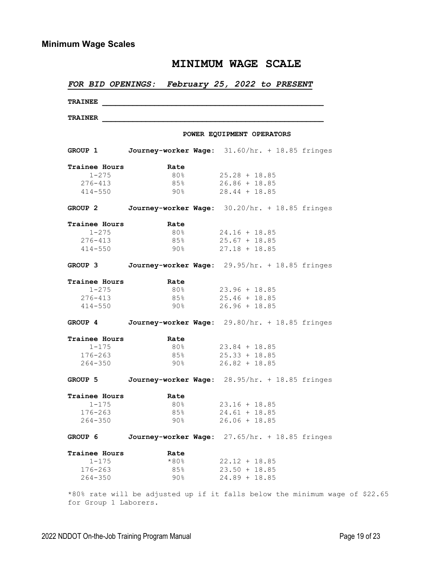|                      |         |                   | FOR BID OPENINGS: February 25, 2022 to PRESENT         |
|----------------------|---------|-------------------|--------------------------------------------------------|
| <b>TRAINEE</b>       |         |                   |                                                        |
| <b>TRAINER</b>       |         |                   |                                                        |
|                      |         |                   | POWER EQUIPMENT OPERATORS                              |
|                      |         |                   | GROUP 1 Journey-worker Wage: 31.60/hr. + 18.85 fringes |
| Trainee Hours        | Rate    |                   |                                                        |
| $1 - 275$            |         |                   | $80\%$ 25.28 + 18.85                                   |
| $276 - 413$          |         |                   | $85\%$ 26.86 + 18.85                                   |
| $414 - 550$          |         | $90\%$ and $90\%$ | $28.44 + 18.85$                                        |
|                      |         |                   | GROUP 2 Journey-worker Wage: 30.20/hr. + 18.85 fringes |
| <b>Trainee Hours</b> | Rate    |                   |                                                        |
| $1 - 275$            | 80%     |                   | $24.16 + 18.85$                                        |
| 276-413              |         |                   | $85\%$ 25.67 + 18.85                                   |
| $414 - 550$          |         |                   | $90\%$ 27.18 + 18.85                                   |
|                      |         |                   | GROUP 3 Journey-worker Wage: 29.95/hr. + 18.85 fringes |
| Trainee Hours        | Rate    |                   |                                                        |
| $1 - 275$            | 80%     |                   | $23.96 + 18.85$                                        |
| $276 - 413$          | 85%     |                   | $25.46 + 18.85$                                        |
| $414 - 550$          | 90%     |                   | $26.96 + 18.85$                                        |
|                      |         |                   | GROUP 4 Journey-worker Wage: 29.80/hr. + 18.85 fringes |
| Trainee Hours        | Rate    |                   |                                                        |
| $1 - 175$            | 80%     |                   | $23.84 + 18.85$                                        |
| $176 - 263$          | 85%     |                   | $25.33 + 18.85$                                        |
| $264 - 350$          | $90\%$  |                   | $26.82 + 18.85$                                        |
|                      |         |                   | GROUP 5 Journey-worker Wage: 28.95/hr. + 18.85 fringes |
| Trainee Hours        | Rate    |                   |                                                        |
| $1 - 175$            | 80%     |                   | $23.16 + 18.85$                                        |
| $176 - 263$          | 85%     |                   | $24.61 + 18.85$                                        |
| $264 - 350$          | 90%     |                   | $26.06 + 18.85$                                        |
| GROUP 6              |         |                   | Journey-worker Wage: 27.65/hr. + 18.85 fringes         |
| Trainee Hours        | Rate    |                   |                                                        |
| $1 - 175$            | $*80\%$ |                   | $22.12 + 18.85$                                        |
| $176 - 263$          | 85%     |                   | $23.50 + 18.85$                                        |
| $264 - 350$          | 90%     |                   | $24.89 + 18.85$                                        |
|                      |         |                   |                                                        |

\*80% rate will be adjusted up if it falls below the minimum wage of \$22.65 for Group 1 Laborers.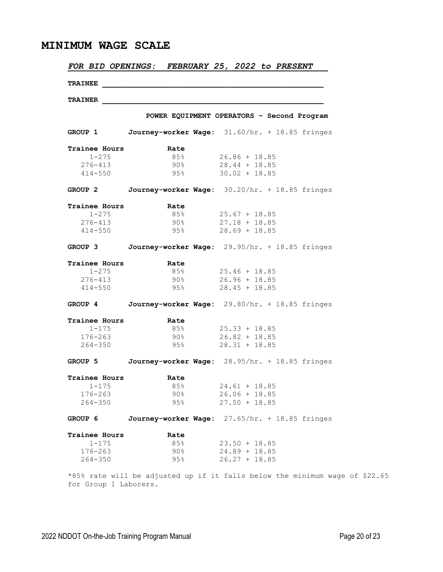| <b>TRAINEE</b><br><b>TRAINER</b><br>POWER EQUIPMENT OPERATORS - Second Program<br>GROUP 1 Journey-worker Wage: 31.60/hr. + 18.85 fringes<br><b>Trainee Hours</b><br>Rate<br>$26.86 + 18.85$<br>$1 - 275$<br>85%<br>$90\%$ 28.44 + 18.85<br>276-413<br>$95\%$ 30.02 + 18.85<br>$414 - 550$<br>GROUP 2 Journey-worker Wage: 30.20/hr. + 18.85 fringes<br>Trainee Hours<br>Rate<br>$1 - 275$<br>85%<br>$25.67 + 18.85$<br>276-413<br>90%<br>$27.18 + 18.85$<br>$28.69 + 18.85$<br>$414 - 550$<br>95%<br>GROUP 3 Journey-worker Wage: 29.95/hr. + 18.85 fringes<br><b>Trainee Hours 6. Rate</b><br>85% 25.46 + 18.85<br>$1 - 275$<br>$276 - 413$<br>90%<br>$26.96 + 18.85$<br>$414 - 550$<br>$95\%$ 28.45 + 18.85<br>GROUP 4 Journey-worker Wage: 29.80/hr. + 18.85 fringes<br><b>Trainee Hours</b><br>Rate<br>$1 - 175$<br>$85\%$ 25.33 + 18.85<br>$176 - 263$<br>$90\%$ 26.82 + 18.85<br>$264 - 350$<br>$95\%$ 28.31 + 18.85<br>GROUP 5 Journey-worker Wage: 28.95/hr. + 18.85 fringes<br>Trainee Hours<br>Rate<br>85%<br>$1 - 175$<br>$24.61 + 18.85$<br>90%<br>$176 - 263$<br>$26.06 + 18.85$<br>$264 - 350$<br>95%<br>$27.50 + 18.85$ |  |
|----------------------------------------------------------------------------------------------------------------------------------------------------------------------------------------------------------------------------------------------------------------------------------------------------------------------------------------------------------------------------------------------------------------------------------------------------------------------------------------------------------------------------------------------------------------------------------------------------------------------------------------------------------------------------------------------------------------------------------------------------------------------------------------------------------------------------------------------------------------------------------------------------------------------------------------------------------------------------------------------------------------------------------------------------------------------------------------------------------------------------------------|--|
|                                                                                                                                                                                                                                                                                                                                                                                                                                                                                                                                                                                                                                                                                                                                                                                                                                                                                                                                                                                                                                                                                                                                        |  |
|                                                                                                                                                                                                                                                                                                                                                                                                                                                                                                                                                                                                                                                                                                                                                                                                                                                                                                                                                                                                                                                                                                                                        |  |
|                                                                                                                                                                                                                                                                                                                                                                                                                                                                                                                                                                                                                                                                                                                                                                                                                                                                                                                                                                                                                                                                                                                                        |  |
|                                                                                                                                                                                                                                                                                                                                                                                                                                                                                                                                                                                                                                                                                                                                                                                                                                                                                                                                                                                                                                                                                                                                        |  |
|                                                                                                                                                                                                                                                                                                                                                                                                                                                                                                                                                                                                                                                                                                                                                                                                                                                                                                                                                                                                                                                                                                                                        |  |
|                                                                                                                                                                                                                                                                                                                                                                                                                                                                                                                                                                                                                                                                                                                                                                                                                                                                                                                                                                                                                                                                                                                                        |  |
|                                                                                                                                                                                                                                                                                                                                                                                                                                                                                                                                                                                                                                                                                                                                                                                                                                                                                                                                                                                                                                                                                                                                        |  |
|                                                                                                                                                                                                                                                                                                                                                                                                                                                                                                                                                                                                                                                                                                                                                                                                                                                                                                                                                                                                                                                                                                                                        |  |
|                                                                                                                                                                                                                                                                                                                                                                                                                                                                                                                                                                                                                                                                                                                                                                                                                                                                                                                                                                                                                                                                                                                                        |  |
|                                                                                                                                                                                                                                                                                                                                                                                                                                                                                                                                                                                                                                                                                                                                                                                                                                                                                                                                                                                                                                                                                                                                        |  |
|                                                                                                                                                                                                                                                                                                                                                                                                                                                                                                                                                                                                                                                                                                                                                                                                                                                                                                                                                                                                                                                                                                                                        |  |
|                                                                                                                                                                                                                                                                                                                                                                                                                                                                                                                                                                                                                                                                                                                                                                                                                                                                                                                                                                                                                                                                                                                                        |  |
|                                                                                                                                                                                                                                                                                                                                                                                                                                                                                                                                                                                                                                                                                                                                                                                                                                                                                                                                                                                                                                                                                                                                        |  |
|                                                                                                                                                                                                                                                                                                                                                                                                                                                                                                                                                                                                                                                                                                                                                                                                                                                                                                                                                                                                                                                                                                                                        |  |
|                                                                                                                                                                                                                                                                                                                                                                                                                                                                                                                                                                                                                                                                                                                                                                                                                                                                                                                                                                                                                                                                                                                                        |  |
|                                                                                                                                                                                                                                                                                                                                                                                                                                                                                                                                                                                                                                                                                                                                                                                                                                                                                                                                                                                                                                                                                                                                        |  |
|                                                                                                                                                                                                                                                                                                                                                                                                                                                                                                                                                                                                                                                                                                                                                                                                                                                                                                                                                                                                                                                                                                                                        |  |
|                                                                                                                                                                                                                                                                                                                                                                                                                                                                                                                                                                                                                                                                                                                                                                                                                                                                                                                                                                                                                                                                                                                                        |  |
|                                                                                                                                                                                                                                                                                                                                                                                                                                                                                                                                                                                                                                                                                                                                                                                                                                                                                                                                                                                                                                                                                                                                        |  |
|                                                                                                                                                                                                                                                                                                                                                                                                                                                                                                                                                                                                                                                                                                                                                                                                                                                                                                                                                                                                                                                                                                                                        |  |
|                                                                                                                                                                                                                                                                                                                                                                                                                                                                                                                                                                                                                                                                                                                                                                                                                                                                                                                                                                                                                                                                                                                                        |  |
|                                                                                                                                                                                                                                                                                                                                                                                                                                                                                                                                                                                                                                                                                                                                                                                                                                                                                                                                                                                                                                                                                                                                        |  |
|                                                                                                                                                                                                                                                                                                                                                                                                                                                                                                                                                                                                                                                                                                                                                                                                                                                                                                                                                                                                                                                                                                                                        |  |
|                                                                                                                                                                                                                                                                                                                                                                                                                                                                                                                                                                                                                                                                                                                                                                                                                                                                                                                                                                                                                                                                                                                                        |  |
|                                                                                                                                                                                                                                                                                                                                                                                                                                                                                                                                                                                                                                                                                                                                                                                                                                                                                                                                                                                                                                                                                                                                        |  |
|                                                                                                                                                                                                                                                                                                                                                                                                                                                                                                                                                                                                                                                                                                                                                                                                                                                                                                                                                                                                                                                                                                                                        |  |
|                                                                                                                                                                                                                                                                                                                                                                                                                                                                                                                                                                                                                                                                                                                                                                                                                                                                                                                                                                                                                                                                                                                                        |  |
|                                                                                                                                                                                                                                                                                                                                                                                                                                                                                                                                                                                                                                                                                                                                                                                                                                                                                                                                                                                                                                                                                                                                        |  |
| Journey-worker Wage: 27.65/hr. + 18.85 fringes<br>GROUP 6                                                                                                                                                                                                                                                                                                                                                                                                                                                                                                                                                                                                                                                                                                                                                                                                                                                                                                                                                                                                                                                                              |  |
| <b>Trainee Hours</b><br>Rate                                                                                                                                                                                                                                                                                                                                                                                                                                                                                                                                                                                                                                                                                                                                                                                                                                                                                                                                                                                                                                                                                                           |  |
| $1 - 175$<br>85%<br>$23.50 + 18.85$                                                                                                                                                                                                                                                                                                                                                                                                                                                                                                                                                                                                                                                                                                                                                                                                                                                                                                                                                                                                                                                                                                    |  |
| $24.89 + 18.85$<br>$176 - 263$<br>90%                                                                                                                                                                                                                                                                                                                                                                                                                                                                                                                                                                                                                                                                                                                                                                                                                                                                                                                                                                                                                                                                                                  |  |
| $26.27 + 18.85$<br>$264 - 350$<br>$95\%$                                                                                                                                                                                                                                                                                                                                                                                                                                                                                                                                                                                                                                                                                                                                                                                                                                                                                                                                                                                                                                                                                               |  |
| *85% rate will be adjusted up if it falls below the minimum wage of \$22.65                                                                                                                                                                                                                                                                                                                                                                                                                                                                                                                                                                                                                                                                                                                                                                                                                                                                                                                                                                                                                                                            |  |

for Group 1 Laborers.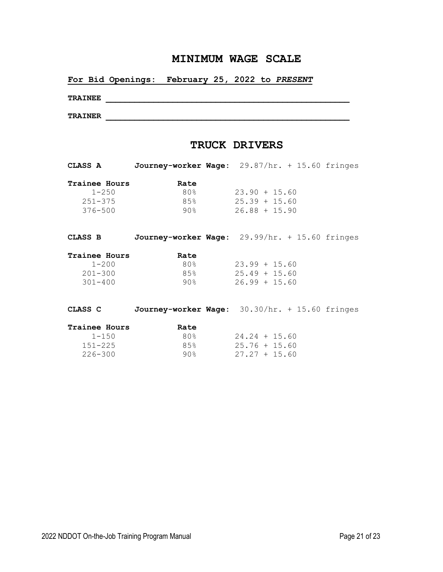### **For Bid Openings: February 25, 2022 to** *PRESENT*

**TRAINEE \_\_\_\_\_\_\_\_\_\_\_\_\_\_\_\_\_\_\_\_\_\_\_\_\_\_\_\_\_\_\_\_\_\_\_\_\_\_\_\_\_\_\_\_\_\_\_\_\_\_\_**

**TRAINER \_\_\_\_\_\_\_\_\_\_\_\_\_\_\_\_\_\_\_\_\_\_\_\_\_\_\_\_\_\_\_\_\_\_\_\_\_\_\_\_\_\_\_\_\_\_\_\_\_\_\_**

# **TRUCK DRIVERS**

| CLASS A | Journey-worker Wage: 29.87/hr. + 15.60 fringes |  |
|---------|------------------------------------------------|--|
|---------|------------------------------------------------|--|

| <b>Trainee Hours</b> | Rate |                 |
|----------------------|------|-----------------|
| $1 - 250$            | 80%  | $23.90 + 15.60$ |
| $251 - 375$          | 85%  | $25.39 + 15.60$ |
| 376-500              | ୨୦୫  | $26.88 + 15.90$ |

| CLASS B       | Journey-worker Wage: 29.99/hr. + 15.60 fringes |                 |  |
|---------------|------------------------------------------------|-----------------|--|
| Trainee Hours | Rate                                           |                 |  |
| $1 - 200$     | 80%                                            | $23.99 + 15.60$ |  |
| $201 - 300$   | 85%                                            | $25.49 + 15.60$ |  |
| $301 - 400$   | ୨୦୫                                            | $26.99 + 15.60$ |  |
|               |                                                |                 |  |

| CLASS C       | Journey-worker Wage: 30.30/hr. + 15.60 fringes |                 |  |
|---------------|------------------------------------------------|-----------------|--|
| Trainee Hours | Rate                                           |                 |  |
| $1 - 150$     | 80%                                            | $24.24 + 15.60$ |  |
| $151 - 225$   | 8.5%                                           | $25.76 + 15.60$ |  |
| $226 - 300$   | ୨୦୫                                            | $27.27 + 15.60$ |  |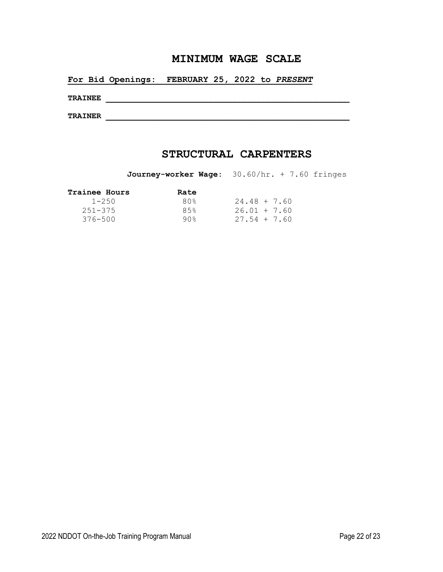**For Bid Openings: FEBRUARY 25, 2022 to** *PRESENT*

**TRAINEE \_\_\_\_\_\_\_\_\_\_\_\_\_\_\_\_\_\_\_\_\_\_\_\_\_\_\_\_\_\_\_\_\_\_\_\_\_\_\_\_\_\_\_\_\_\_\_\_\_\_\_**

**TRAINER \_\_\_\_\_\_\_\_\_\_\_\_\_\_\_\_\_\_\_\_\_\_\_\_\_\_\_\_\_\_\_\_\_\_\_\_\_\_\_\_\_\_\_\_\_\_\_\_\_\_\_**

# **STRUCTURAL CARPENTERS**

**Journey-worker Wage:** 30.60/hr. + 7.60 fringes

| $24.48 + 7.60$ |
|----------------|
| $26.01 + 7.60$ |
| $27.54 + 7.60$ |
|                |